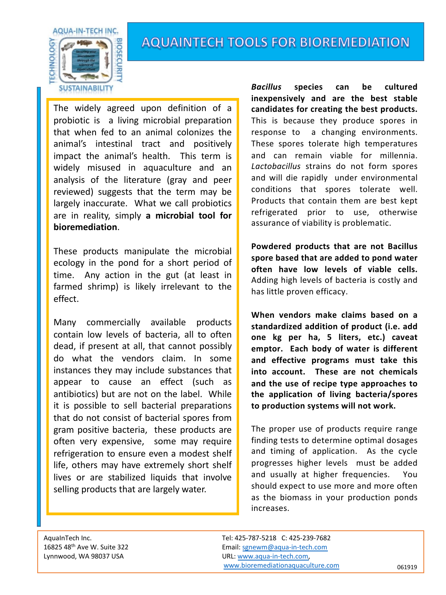

## **AQUAINTECH TOOLS FOR BIOREMEDIATION**

The widely agreed upon definition of a probiotic is a living microbial preparation that when fed to an animal colonizes the animal's intestinal tract and positively impact the animal's health. This term is widely misused in aquaculture and an analysis of the literature (gray and peer reviewed) suggests that the term may be largely inaccurate. What we call probiotics are in reality, simply **a microbial tool for bioremediation**.

These products manipulate the microbial ecology in the pond for a short period of time. Any action in the gut (at least in farmed shrimp) is likely irrelevant to the effect.

Many commercially available products contain low levels of bacteria, all to often dead, if present at all, that cannot possibly do what the vendors claim. In some instances they may include substances that appear to cause an effect (such as antibiotics) but are not on the label. While it is possible to sell bacterial preparations that do not consist of bacterial spores from gram positive bacteria, these products are often very expensive, some may require refrigeration to ensure even a modest shelf life, others may have extremely short shelf lives or are stabilized liquids that involve selling products that are largely water.

*Bacillus* **species can be cultured inexpensively and are the best stable candidates for creating the best products.** This is because they produce spores in response to a changing environments. These spores tolerate high temperatures and can remain viable for millennia. *Lactobacillus* strains do not form spores and will die rapidly under environmental conditions that spores tolerate well. Products that contain them are best kept refrigerated prior to use, otherwise assurance of viability is problematic.

**Powdered products that are not Bacillus spore based that are added to pond water often have low levels of viable cells.** Adding high levels of bacteria is costly and has little proven efficacy.

**When vendors make claims based on a standardized addition of product (i.e. add one kg per ha, 5 liters, etc.) caveat emptor. Each body of water is different and effective programs must take this into account. These are not chemicals and the use of recipe type approaches to the application of living bacteria/spores to production systems will not work.**

The proper use of products require range finding tests to determine optimal dosages and timing of application. As the cycle progresses higher levels must be added and usually at higher frequencies. You should expect to use more and more often as the biomass in your production ponds increases.

AquaInTech Inc. Tel: 425-787-5218 C: 425-239-7682 16825 48th Ave W. Suite 322 Email: [sgnewm@aqua-in-tech.com](mailto:sgnewm@aqua-in-tech.com) Lynnwood, WA 98037 USA URL: [www.aqua-in-tech.com,](http://www.aqua-in-tech.com/) [www.bioremediationaquaculture.com](http://www.bioremediationaquaculture.com/) 061919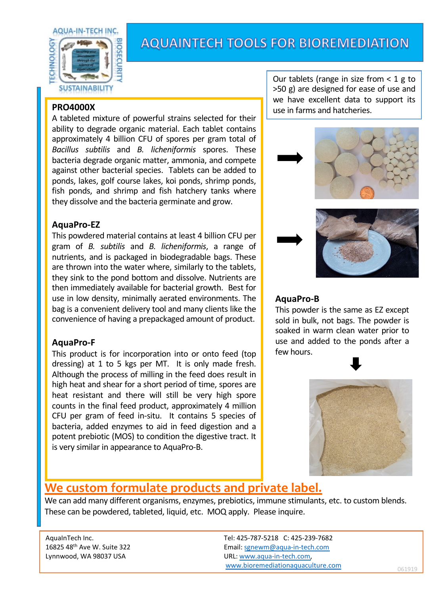

## **AQUAINTECH TOOLS FOR BIOREMEDIATION**

#### **PRO4000X**

A tableted mixture of powerful strains selected for their ability to degrade organic material. Each tablet contains approximately 4 billion CFU of spores per gram total of *Bacillus subtilis* and *B. licheniformis* spores. These bacteria degrade organic matter, ammonia, and compete against other bacterial species. Tablets can be added to ponds, lakes, golf course lakes, koi ponds, shrimp ponds, fish ponds, and shrimp and fish hatchery tanks where they dissolve and the bacteria germinate and grow.

#### **AquaPro-EZ**

This powdered material contains at least 4 billion CFU per gram of *B. subtilis* and *B. licheniformis*, a range of nutrients, and is packaged in biodegradable bags. These are thrown into the water where, similarly to the tablets, they sink to the pond bottom and dissolve. Nutrients are then immediately available for bacterial growth. Best for use in low density, minimally aerated environments. The bag is a convenient delivery tool and many clients like the convenience of having a prepackaged amount of product.

#### **AquaPro-F**

This product is for incorporation into or onto feed (top dressing) at 1 to 5 kgs per MT. It is only made fresh. Although the process of milling in the feed does result in high heat and shear for a short period of time, spores are heat resistant and there will still be very high spore counts in the final feed product, approximately 4 million CFU per gram of feed in-situ. It contains 5 species of bacteria, added enzymes to aid in feed digestion and a potent prebiotic (MOS) to condition the digestive tract. It is very similar in appearance to AquaPro-B.

Our tablets (range in size from  $<$  1 g to >50 g) are designed for ease of use and we have excellent data to support its use in farms and hatcheries.



#### **AquaPro-B**

This powder is the same as EZ except sold in bulk, not bags. The powder is soaked in warm clean water prior to use and added to the ponds after a few hours.



### **We custom formulate products and private label.**

We can add many different organisms, enzymes, prebiotics, immune stimulants, etc. to custom blends. These can be powdered, tableted, liquid, etc. MOQ apply. Please inquire.

AquaInTech Inc. Tel: 425-787-5218 C: 425-239-7682 16825 48th Ave W. Suite 322 Email: [sgnewm@aqua-in-tech.com](mailto:sgnewm@aqua-in-tech.com) Lynnwood, WA 98037 USA URL: [www.aqua-in-tech.com,](http://www.aqua-in-tech.com/) [www.bioremediationaquaculture.com](http://www.bioremediationaquaculture.com/) 061919